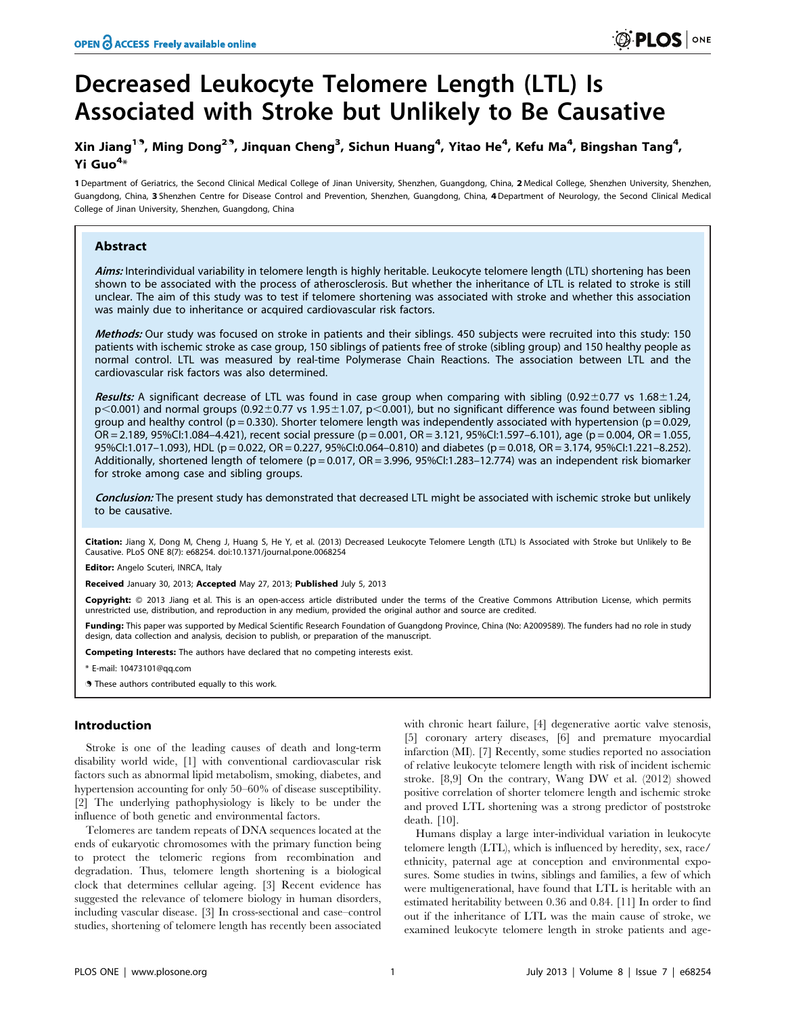# Decreased Leukocyte Telomere Length (LTL) Is Associated with Stroke but Unlikely to Be Causative

# Xin Jiang<sup>19</sup>, Ming Dong<sup>29</sup>, Jinquan Cheng<sup>3</sup>, Sichun Huang<sup>4</sup>, Yitao He<sup>4</sup>, Kefu Ma<sup>4</sup>, Bingshan Tang<sup>4</sup>, Yi Guo<sup>4</sup>\*

1 Department of Geriatrics, the Second Clinical Medical College of Jinan University, Shenzhen, Guangdong, China, 2 Medical College, Shenzhen University, Shenzhen, Guangdong, China, 3 Shenzhen Centre for Disease Control and Prevention, Shenzhen, Guangdong, China, 4 Department of Neurology, the Second Clinical Medical College of Jinan University, Shenzhen, Guangdong, China

# Abstract

Aims: Interindividual variability in telomere length is highly heritable. Leukocyte telomere length (LTL) shortening has been shown to be associated with the process of atherosclerosis. But whether the inheritance of LTL is related to stroke is still unclear. The aim of this study was to test if telomere shortening was associated with stroke and whether this association was mainly due to inheritance or acquired cardiovascular risk factors.

Methods: Our study was focused on stroke in patients and their siblings. 450 subjects were recruited into this study: 150 patients with ischemic stroke as case group, 150 siblings of patients free of stroke (sibling group) and 150 healthy people as normal control. LTL was measured by real-time Polymerase Chain Reactions. The association between LTL and the cardiovascular risk factors was also determined.

Results: A significant decrease of LTL was found in case group when comparing with sibling (0.92 $\pm$ 0.77 vs 1.68 $\pm$ 1.24,  $p<0.001$ ) and normal groups (0.92 $\pm$ 0.77 vs 1.95 $\pm$ 1.07, p $<$ 0.001), but no significant difference was found between sibling group and healthy control ( $p = 0.330$ ). Shorter telomere length was independently associated with hypertension ( $p = 0.029$ , OR = 2.189, 95%CI:1.084–4.421), recent social pressure (p = 0.001, OR = 3.121, 95%CI:1.597–6.101), age (p = 0.004, OR = 1.055, 95%CI:1.017–1.093), HDL (p = 0.022, OR = 0.227, 95%CI:0.064–0.810) and diabetes (p = 0.018, OR = 3.174, 95%CI:1.221–8.252). Additionally, shortened length of telomere ( $p = 0.017$ , OR = 3.996, 95%CI:1.283-12.774) was an independent risk biomarker for stroke among case and sibling groups.

Conclusion: The present study has demonstrated that decreased LTL might be associated with ischemic stroke but unlikely to be causative.

Citation: Jiang X, Dong M, Cheng J, Huang S, He Y, et al. (2013) Decreased Leukocyte Telomere Length (LTL) Is Associated with Stroke but Unlikely to Be Causative. PLoS ONE 8(7): e68254. doi:10.1371/journal.pone.0068254

Editor: Angelo Scuteri, INRCA, Italy

Received January 30, 2013; Accepted May 27, 2013; Published July 5, 2013

Copyright: © 2013 Jiang et al. This is an open-access article distributed under the terms of the Creative Commons Attribution License, which permits unrestricted use, distribution, and reproduction in any medium, provided the original author and source are credited.

Funding: This paper was supported by Medical Scientific Research Foundation of Guangdong Province, China (No: A2009589). The funders had no role in study design, data collection and analysis, decision to publish, or preparation of the manuscript.

Competing Interests: The authors have declared that no competing interests exist.

\* E-mail: 10473101@qq.com

. These authors contributed equally to this work.

# Introduction

Stroke is one of the leading causes of death and long-term disability world wide, [1] with conventional cardiovascular risk factors such as abnormal lipid metabolism, smoking, diabetes, and hypertension accounting for only 50–60% of disease susceptibility. [2] The underlying pathophysiology is likely to be under the influence of both genetic and environmental factors.

Telomeres are tandem repeats of DNA sequences located at the ends of eukaryotic chromosomes with the primary function being to protect the telomeric regions from recombination and degradation. Thus, telomere length shortening is a biological clock that determines cellular ageing. [3] Recent evidence has suggested the relevance of telomere biology in human disorders, including vascular disease. [3] In cross-sectional and case–control studies, shortening of telomere length has recently been associated

with chronic heart failure, [4] degenerative aortic valve stenosis, [5] coronary artery diseases, [6] and premature myocardial infarction (MI). [7] Recently, some studies reported no association of relative leukocyte telomere length with risk of incident ischemic stroke. [8,9] On the contrary, Wang DW et al. (2012) showed positive correlation of shorter telomere length and ischemic stroke and proved LTL shortening was a strong predictor of poststroke death. [10].

Humans display a large inter-individual variation in leukocyte telomere length (LTL), which is influenced by heredity, sex, race/ ethnicity, paternal age at conception and environmental exposures. Some studies in twins, siblings and families, a few of which were multigenerational, have found that LTL is heritable with an estimated heritability between 0.36 and 0.84. [11] In order to find out if the inheritance of LTL was the main cause of stroke, we examined leukocyte telomere length in stroke patients and age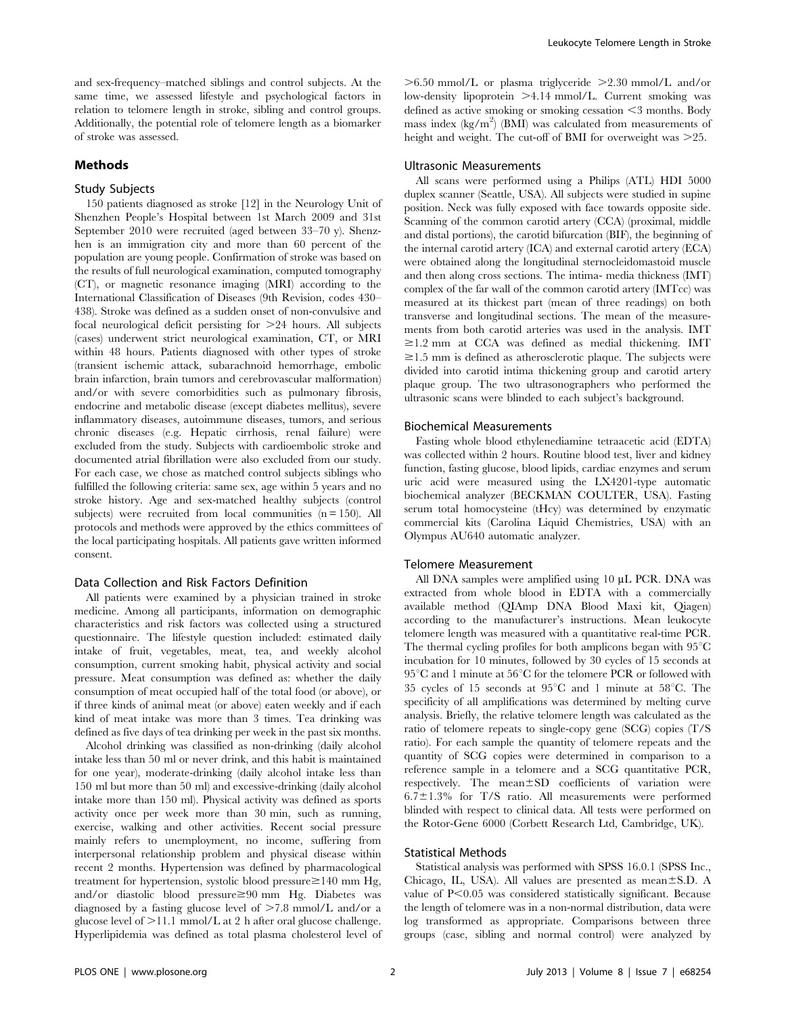and sex-frequency–matched siblings and control subjects. At the same time, we assessed lifestyle and psychological factors in relation to telomere length in stroke, sibling and control groups. Additionally, the potential role of telomere length as a biomarker of stroke was assessed.

# Methods

# Study Subjects

150 patients diagnosed as stroke [12] in the Neurology Unit of Shenzhen People's Hospital between 1st March 2009 and 31st September 2010 were recruited (aged between 33–70 y). Shenzhen is an immigration city and more than 60 percent of the population are young people. Confirmation of stroke was based on the results of full neurological examination, computed tomography (CT), or magnetic resonance imaging (MRI) according to the International Classification of Diseases (9th Revision, codes 430– 438). Stroke was defined as a sudden onset of non-convulsive and focal neurological deficit persisting for  $\geq$  24 hours. All subjects (cases) underwent strict neurological examination, CT, or MRI within 48 hours. Patients diagnosed with other types of stroke (transient ischemic attack, subarachnoid hemorrhage, embolic brain infarction, brain tumors and cerebrovascular malformation) and/or with severe comorbidities such as pulmonary fibrosis, endocrine and metabolic disease (except diabetes mellitus), severe inflammatory diseases, autoimmune diseases, tumors, and serious chronic diseases (e.g. Hepatic cirrhosis, renal failure) were excluded from the study. Subjects with cardioembolic stroke and documented atrial fibrillation were also excluded from our study. For each case, we chose as matched control subjects siblings who fulfilled the following criteria: same sex, age within 5 years and no stroke history. Age and sex-matched healthy subjects (control subjects) were recruited from local communities  $(n = 150)$ . All protocols and methods were approved by the ethics committees of the local participating hospitals. All patients gave written informed consent.

# Data Collection and Risk Factors Definition

All patients were examined by a physician trained in stroke medicine. Among all participants, information on demographic characteristics and risk factors was collected using a structured questionnaire. The lifestyle question included: estimated daily intake of fruit, vegetables, meat, tea, and weekly alcohol consumption, current smoking habit, physical activity and social pressure. Meat consumption was defined as: whether the daily consumption of meat occupied half of the total food (or above), or if three kinds of animal meat (or above) eaten weekly and if each kind of meat intake was more than 3 times. Tea drinking was defined as five days of tea drinking per week in the past six months.

Alcohol drinking was classified as non-drinking (daily alcohol intake less than 50 ml or never drink, and this habit is maintained for one year), moderate-drinking (daily alcohol intake less than 150 ml but more than 50 ml) and excessive-drinking (daily alcohol intake more than 150 ml). Physical activity was defined as sports activity once per week more than 30 min, such as running, exercise, walking and other activities. Recent social pressure mainly refers to unemployment, no income, suffering from interpersonal relationship problem and physical disease within recent 2 months. Hypertension was defined by pharmacological treatment for hypertension, systolic blood pressure $\geq$ 140 mm Hg, and/or diastolic blood pressure ≥90 mm Hg. Diabetes was diagnosed by a fasting glucose level of  $>7.8$  mmol/L and/or a glucose level of  $>11.1$  mmol/L at 2 h after oral glucose challenge. Hyperlipidemia was defined as total plasma cholesterol level of  $>6.50$  mmol/L or plasma triglyceride  $>2.30$  mmol/L and/or low-density lipoprotein  $\geq 4.14$  mmol/L. Current smoking was defined as active smoking or smoking cessation  $\leq$ 3 months. Body mass index  $\langle \text{kg/m}^2 \rangle$  (BMI) was calculated from measurements of height and weight. The cut-off of BMI for overweight was  $>25$ .

# Ultrasonic Measurements

All scans were performed using a Philips (ATL) HDI 5000 duplex scanner (Seattle, USA). All subjects were studied in supine position. Neck was fully exposed with face towards opposite side. Scanning of the common carotid artery (CCA) (proximal, middle and distal portions), the carotid bifurcation (BIF), the beginning of the internal carotid artery (ICA) and external carotid artery (ECA) were obtained along the longitudinal sternocleidomastoid muscle and then along cross sections. The intima- media thickness (IMT) complex of the far wall of the common carotid artery (IMTcc) was measured at its thickest part (mean of three readings) on both transverse and longitudinal sections. The mean of the measurements from both carotid arteries was used in the analysis. IMT  $\geq$ 1.2 mm at CCA was defined as medial thickening. IMT  $\geq$ 1.5 mm is defined as atherosclerotic plaque. The subjects were divided into carotid intima thickening group and carotid artery plaque group. The two ultrasonographers who performed the ultrasonic scans were blinded to each subject's background.

#### Biochemical Measurements

Fasting whole blood ethylenediamine tetraacetic acid (EDTA) was collected within 2 hours. Routine blood test, liver and kidney function, fasting glucose, blood lipids, cardiac enzymes and serum uric acid were measured using the LX4201-type automatic biochemical analyzer (BECKMAN COULTER, USA). Fasting serum total homocysteine (tHcy) was determined by enzymatic commercial kits (Carolina Liquid Chemistries, USA) with an Olympus AU640 automatic analyzer.

#### Telomere Measurement

All DNA samples were amplified using 10 µL PCR. DNA was extracted from whole blood in EDTA with a commercially available method (QIAmp DNA Blood Maxi kit, Qiagen) according to the manufacturer's instructions. Mean leukocyte telomere length was measured with a quantitative real-time PCR. The thermal cycling profiles for both amplicons began with  $95^{\circ}$ C incubation for 10 minutes, followed by 30 cycles of 15 seconds at  $95^{\circ}$ C and 1 minute at  $56^{\circ}$ C for the telomere PCR or followed with 35 cycles of 15 seconds at  $95^{\circ}$ C and 1 minute at  $58^{\circ}$ C. The specificity of all amplifications was determined by melting curve analysis. Briefly, the relative telomere length was calculated as the ratio of telomere repeats to single-copy gene (SCG) copies (T/S ratio). For each sample the quantity of telomere repeats and the quantity of SCG copies were determined in comparison to a reference sample in a telomere and a SCG quantitative PCR, respectively. The mean±SD coefficients of variation were  $6.7 \pm 1.3$ % for T/S ratio. All measurements were performed blinded with respect to clinical data. All tests were performed on the Rotor-Gene 6000 (Corbett Research Ltd, Cambridge, UK).

# Statistical Methods

Statistical analysis was performed with SPSS 16.0.1 (SPSS Inc., Chicago, IL, USA). All values are presented as mean $\pm$ S.D. A value of  $P<0.05$  was considered statistically significant. Because the length of telomere was in a non-normal distribution, data were log transformed as appropriate. Comparisons between three groups (case, sibling and normal control) were analyzed by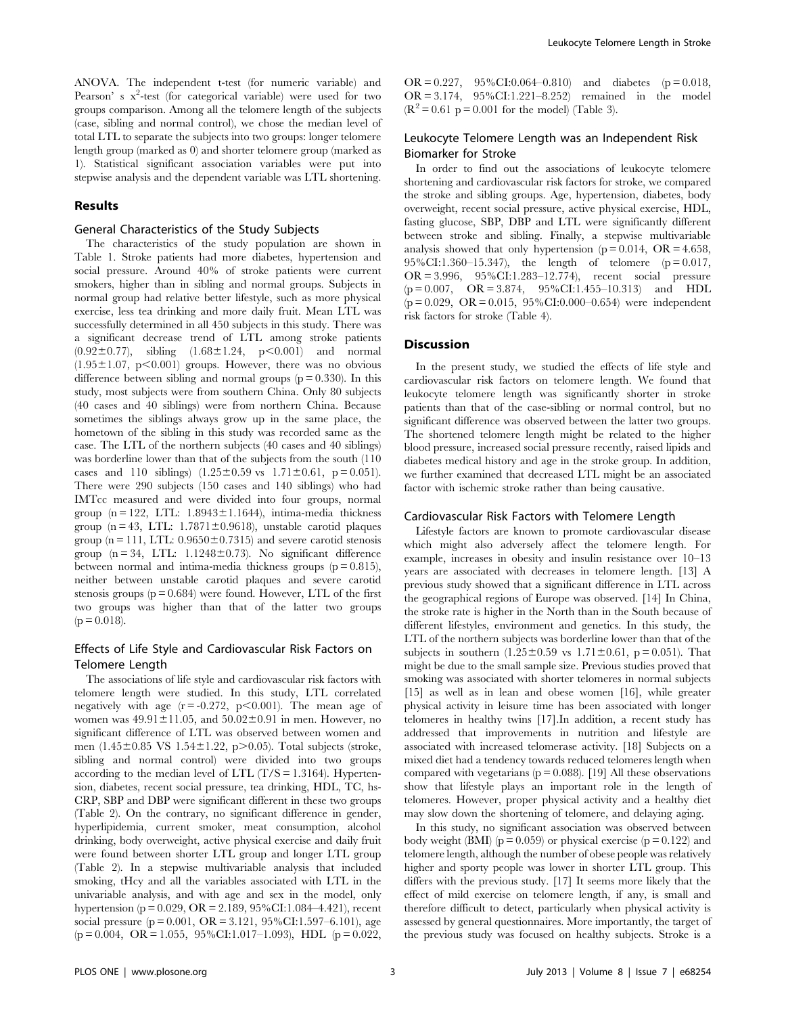ANOVA. The independent t-test (for numeric variable) and Pearson' s x<sup>2</sup>-test (for categorical variable) were used for two groups comparison. Among all the telomere length of the subjects (case, sibling and normal control), we chose the median level of total LTL to separate the subjects into two groups: longer telomere length group (marked as 0) and shorter telomere group (marked as 1). Statistical significant association variables were put into stepwise analysis and the dependent variable was LTL shortening.

### Results

# General Characteristics of the Study Subjects

The characteristics of the study population are shown in Table 1. Stroke patients had more diabetes, hypertension and social pressure. Around 40% of stroke patients were current smokers, higher than in sibling and normal groups. Subjects in normal group had relative better lifestyle, such as more physical exercise, less tea drinking and more daily fruit. Mean LTL was successfully determined in all 450 subjects in this study. There was a significant decrease trend of LTL among stroke patients  $(0.92\pm0.77)$ , sibling  $(1.68\pm1.24, p<0.001)$  and normal  $(1.95\pm1.07, p<0.001)$  groups. However, there was no obvious difference between sibling and normal groups  $(p = 0.330)$ . In this study, most subjects were from southern China. Only 80 subjects (40 cases and 40 siblings) were from northern China. Because sometimes the siblings always grow up in the same place, the hometown of the sibling in this study was recorded same as the case. The LTL of the northern subjects (40 cases and 40 siblings) was borderline lower than that of the subjects from the south (110 cases and 110 siblings)  $(1.25 \pm 0.59 \text{ vs } 1.71 \pm 0.61, \text{ p} = 0.051)$ . There were 290 subjects (150 cases and 140 siblings) who had IMTcc measured and were divided into four groups, normal group  $(n = 122, LTL: 1.8943 \pm 1.1644)$ , intima-media thickness group ( $n = 43$ , LTL: 1.7871 $\pm$ 0.9618), unstable carotid plaques group ( $n = 111$ , LTL:  $0.9650 \pm 0.7315$ ) and severe carotid stenosis group  $(n = 34, LTL: 1.1248 \pm 0.73)$ . No significant difference between normal and intima-media thickness groups  $(p = 0.815)$ , neither between unstable carotid plaques and severe carotid stenosis groups  $(p = 0.684)$  were found. However, LTL of the first two groups was higher than that of the latter two groups  $(p = 0.018)$ .

# Effects of Life Style and Cardiovascular Risk Factors on Telomere Length

The associations of life style and cardiovascular risk factors with telomere length were studied. In this study, LTL correlated negatively with age  $(r = -0.272, p < 0.001)$ . The mean age of women was  $49.91 \pm 11.05$ , and  $50.02 \pm 0.91$  in men. However, no significant difference of LTL was observed between women and men (1.45 $\pm$ 0.85 VS 1.54 $\pm$ 1.22, p $>$ 0.05). Total subjects (stroke, sibling and normal control) were divided into two groups according to the median level of LTL  $(T/S = 1.3164)$ . Hypertension, diabetes, recent social pressure, tea drinking, HDL, TC, hs-CRP, SBP and DBP were significant different in these two groups (Table 2). On the contrary, no significant difference in gender, hyperlipidemia, current smoker, meat consumption, alcohol drinking, body overweight, active physical exercise and daily fruit were found between shorter LTL group and longer LTL group (Table 2). In a stepwise multivariable analysis that included smoking, tHcy and all the variables associated with LTL in the univariable analysis, and with age and sex in the model, only hypertension (p = 0.029, OR = 2.189, 95%CI:1.084–4.421), recent social pressure ( $p = 0.001$ , OR = 3.121, 95%CI:1.597–6.101), age  $(p = 0.004, \text{ OR} = 1.055, 95\% \text{CI}: 1.017-1.093), \text{ HDL } (p = 0.022,$ 

OR =  $0.227$ ,  $95\%$ CI:0.064–0.810) and diabetes (p = 0.018, OR = 3.174, 95%CI:1.221–8.252) remained in the model  $(R^2 = 0.61 \text{ p} = 0.001 \text{ for the model})$  (Table 3).

# Leukocyte Telomere Length was an Independent Risk Biomarker for Stroke

In order to find out the associations of leukocyte telomere shortening and cardiovascular risk factors for stroke, we compared the stroke and sibling groups. Age, hypertension, diabetes, body overweight, recent social pressure, active physical exercise, HDL, fasting glucose, SBP, DBP and LTL were significantly different between stroke and sibling. Finally, a stepwise multivariable analysis showed that only hypertension ( $p = 0.014$ , OR = 4.658, 95%CI:1.360–15.347), the length of telomere  $(p=0.017,$ OR = 3.996, 95%CI:1.283–12.774), recent social pressure  $(p = 0.007, \quad \text{OR} = 3.874, \quad 95\% \text{CI}: 1.455-10.313)$  and HDL  $(p = 0.029, \text{ OR } = 0.015, 95\% \text{ CI: } 0.000 - 0.654)$  were independent risk factors for stroke (Table 4).

# **Discussion**

In the present study, we studied the effects of life style and cardiovascular risk factors on telomere length. We found that leukocyte telomere length was significantly shorter in stroke patients than that of the case-sibling or normal control, but no significant difference was observed between the latter two groups. The shortened telomere length might be related to the higher blood pressure, increased social pressure recently, raised lipids and diabetes medical history and age in the stroke group. In addition, we further examined that decreased LTL might be an associated factor with ischemic stroke rather than being causative.

#### Cardiovascular Risk Factors with Telomere Length

Lifestyle factors are known to promote cardiovascular disease which might also adversely affect the telomere length. For example, increases in obesity and insulin resistance over 10–13 years are associated with decreases in telomere length. [13] A previous study showed that a significant difference in LTL across the geographical regions of Europe was observed. [14] In China, the stroke rate is higher in the North than in the South because of different lifestyles, environment and genetics. In this study, the LTL of the northern subjects was borderline lower than that of the subjects in southern  $(1.25 \pm 0.59 \text{ vs } 1.71 \pm 0.61, \text{ p} = 0.051)$ . That might be due to the small sample size. Previous studies proved that smoking was associated with shorter telomeres in normal subjects [15] as well as in lean and obese women [16], while greater physical activity in leisure time has been associated with longer telomeres in healthy twins [17].In addition, a recent study has addressed that improvements in nutrition and lifestyle are associated with increased telomerase activity. [18] Subjects on a mixed diet had a tendency towards reduced telomeres length when compared with vegetarians ( $p = 0.088$ ). [19] All these observations show that lifestyle plays an important role in the length of telomeres. However, proper physical activity and a healthy diet may slow down the shortening of telomere, and delaying aging.

In this study, no significant association was observed between body weight (BMI) ( $p = 0.059$ ) or physical exercise ( $p = 0.122$ ) and telomere length, although the number of obese people was relatively higher and sporty people was lower in shorter LTL group. This differs with the previous study. [17] It seems more likely that the effect of mild exercise on telomere length, if any, is small and therefore difficult to detect, particularly when physical activity is assessed by general questionnaires. More importantly, the target of the previous study was focused on healthy subjects. Stroke is a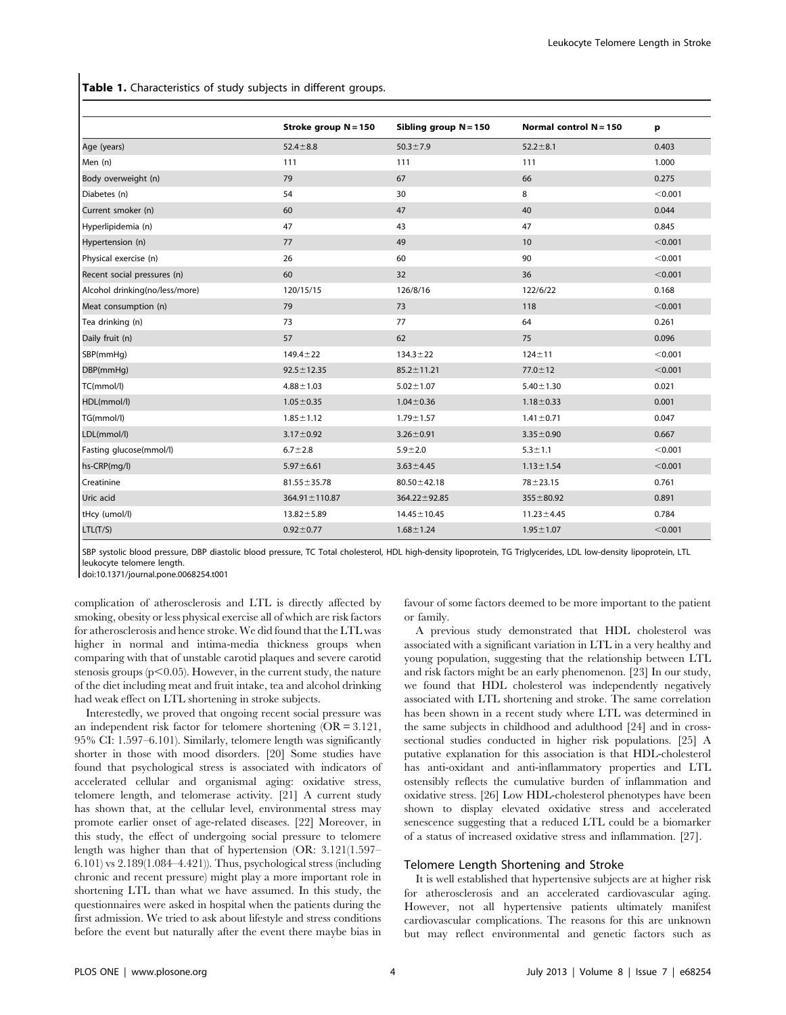Table 1. Characteristics of study subjects in different groups.

|                                | Stroke group N = 150 | Sibling group $N = 150$ | Normal control $N = 150$ | p       |
|--------------------------------|----------------------|-------------------------|--------------------------|---------|
| Age (years)                    | $52.4 \pm 8.8$       | $50.3 \pm 7.9$          | $52.2 \pm 8.1$           | 0.403   |
| Men (n)                        | 111                  | 111                     | 111                      | 1.000   |
| Body overweight (n)            | 79                   | 67                      | 66                       | 0.275   |
| Diabetes (n)                   | 54                   | 30                      | 8                        | < 0.001 |
| Current smoker (n)             | 60                   | 47                      | 40                       | 0.044   |
| Hyperlipidemia (n)             | 47                   | 43                      | 47                       | 0.845   |
| Hypertension (n)               | 77                   | 49                      | 10                       | < 0.001 |
| Physical exercise (n)          | 26                   | 60                      | 90                       | < 0.001 |
| Recent social pressures (n)    | 60                   | 32                      | 36                       | < 0.001 |
| Alcohol drinking(no/less/more) | 120/15/15            | 126/8/16                | 122/6/22                 | 0.168   |
| Meat consumption (n)           | 79                   | 73                      | 118                      | < 0.001 |
| Tea drinking (n)               | 73                   | 77                      | 64                       | 0.261   |
| Daily fruit (n)                | 57                   | 62                      | 75                       | 0.096   |
| SBP(mmHg)                      | $149.4 \pm 22$       | $134.3 \pm 22$          | $124 + 11$               | < 0.001 |
| DBP(mmHg)                      | $92.5 \pm 12.35$     | $85.2 \pm 11.21$        | $77.0 \pm 12$            | < 0.001 |
| TC(mmol/l)                     | $4.88 \pm 1.03$      | $5.02 \pm 1.07$         | $5.40 \pm 1.30$          | 0.021   |
| HDL(mmol/l)                    | $1.05 \pm 0.35$      | $1.04 \pm 0.36$         | $1.18 \pm 0.33$          | 0.001   |
| TG(mmol/l)                     | $1.85 \pm 1.12$      | $1.79 \pm 1.57$         | $1.41 \pm 0.71$          | 0.047   |
| LDL(mmol/l)                    | $3.17 \pm 0.92$      | $3.26 \pm 0.91$         | $3.35 \pm 0.90$          | 0.667   |
| Fasting glucose(mmol/l)        | $6.7 \pm 2.8$        | $5.9 + 2.0$             | $5.3 \pm 1.1$            | < 0.001 |
| hs-CRP(mg/l)                   | $5.97 \pm 6.61$      | $3.63 \pm 4.45$         | $1.13 \pm 1.54$          | < 0.001 |
| Creatinine                     | $81.55 \pm 35.78$    | $80.50 \pm 42.18$       | $78 + 23.15$             | 0.761   |
| Uric acid                      | $364.91 \pm 110.87$  | $364.22 \pm 92.85$      | $355 \pm 80.92$          | 0.891   |
| tHcy (umol/l)                  | $13.82 \pm 5.89$     | $14.45 \pm 10.45$       | $11.23 \pm 4.45$         | 0.784   |
| LTL(T/S)                       | $0.92 \pm 0.77$      | $1.68 \pm 1.24$         | $1.95 \pm 1.07$          | < 0.001 |

SBP systolic blood pressure, DBP diastolic blood pressure, TC Total cholesterol, HDL high-density lipoprotein, TG Triglycerides, LDL low-density lipoprotein, LTL leukocyte telomere length.

doi:10.1371/journal.pone.0068254.t001

complication of atherosclerosis and LTL is directly affected by smoking, obesity or less physical exercise all of which are risk factors for atherosclerosis and hence stroke. We did found that the LTL was higher in normal and intima-media thickness groups when comparing with that of unstable carotid plaques and severe carotid stenosis groups ( $p<0.05$ ). However, in the current study, the nature of the diet including meat and fruit intake, tea and alcohol drinking had weak effect on LTL shortening in stroke subjects.

Interestedly, we proved that ongoing recent social pressure was an independent risk factor for telomere shortening (OR = 3.121, 95% CI: 1.597–6.101). Similarly, telomere length was significantly shorter in those with mood disorders. [20] Some studies have found that psychological stress is associated with indicators of accelerated cellular and organismal aging: oxidative stress, telomere length, and telomerase activity. [21] A current study has shown that, at the cellular level, environmental stress may promote earlier onset of age-related diseases. [22] Moreover, in this study, the effect of undergoing social pressure to telomere length was higher than that of hypertension (OR: 3.121(1.597– 6.101) vs 2.189(1.084–4.421)). Thus, psychological stress (including chronic and recent pressure) might play a more important role in shortening LTL than what we have assumed. In this study, the questionnaires were asked in hospital when the patients during the first admission. We tried to ask about lifestyle and stress conditions before the event but naturally after the event there maybe bias in favour of some factors deemed to be more important to the patient or family.

A previous study demonstrated that HDL cholesterol was associated with a significant variation in LTL in a very healthy and young population, suggesting that the relationship between LTL and risk factors might be an early phenomenon. [23] In our study, we found that HDL cholesterol was independently negatively associated with LTL shortening and stroke. The same correlation has been shown in a recent study where LTL was determined in the same subjects in childhood and adulthood [24] and in crosssectional studies conducted in higher risk populations. [25] A putative explanation for this association is that HDL-cholesterol has anti-oxidant and anti-inflammatory properties and LTL ostensibly reflects the cumulative burden of inflammation and oxidative stress. [26] Low HDL-cholesterol phenotypes have been shown to display elevated oxidative stress and accelerated senescence suggesting that a reduced LTL could be a biomarker of a status of increased oxidative stress and inflammation. [27].

#### Telomere Length Shortening and Stroke

It is well established that hypertensive subjects are at higher risk for atherosclerosis and an accelerated cardiovascular aging. However, not all hypertensive patients ultimately manifest cardiovascular complications. The reasons for this are unknown but may reflect environmental and genetic factors such as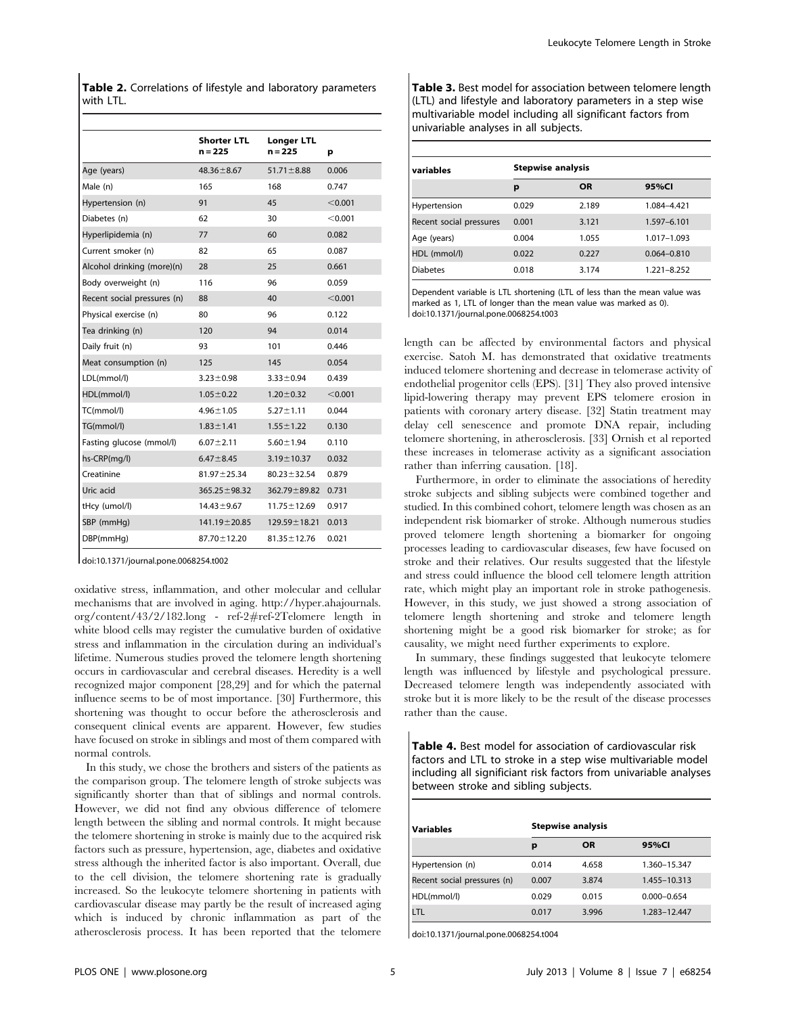Table 2. Correlations of lifestyle and laboratory parameters with LTL.

|                             | Shorter LTL<br>n = 225 | Longer LTL<br>n = 225 | р       |
|-----------------------------|------------------------|-----------------------|---------|
| Age (years)                 | $48.36 \pm 8.67$       | $51.71 \pm 8.88$      | 0.006   |
| Male (n)                    | 165                    | 168                   | 0.747   |
| Hypertension (n)            | 91                     | 45                    | < 0.001 |
| Diabetes (n)                | 62                     | 30                    | < 0.001 |
| Hyperlipidemia (n)          | 77                     | 60                    | 0.082   |
| Current smoker (n)          | 82                     | 65                    | 0.087   |
| Alcohol drinking (more)(n)  | 28                     | 25                    | 0.661   |
| Body overweight (n)         | 116                    | 96                    | 0.059   |
| Recent social pressures (n) | 88                     | 40                    | < 0.001 |
| Physical exercise (n)       | 80                     | 96                    | 0.122   |
| Tea drinking (n)            | 120                    | 94                    | 0.014   |
| Daily fruit (n)             | 93                     | 101                   | 0.446   |
| Meat consumption (n)        | 125                    | 145                   | 0.054   |
| LDL(mmol/l)                 | $3.23 \pm 0.98$        | $3.33 \pm 0.94$       | 0.439   |
| HDL(mmol/l)                 | $1.05 \pm 0.22$        | $1.20 \pm 0.32$       | < 0.001 |
| TC(mmol/l)                  | $4.96 \pm 1.05$        | $5.27 \pm 1.11$       | 0.044   |
| TG(mmol/l)                  | $1.83 \pm 1.41$        | $1.55 \pm 1.22$       | 0.130   |
| Fasting glucose (mmol/l)    | $6.07 \pm 2.11$        | $5.60 \pm 1.94$       | 0.110   |
| hs-CRP(mg/l)                | $6.47 \pm 8.45$        | $3.19 \pm 10.37$      | 0.032   |
| Creatinine                  | $81.97 \pm 25.34$      | $80.23 \pm 32.54$     | 0.879   |
| Uric acid                   | $365.25 \pm 98.32$     | $362.79 \pm 89.82$    | 0.731   |
| tHcy (umol/l)               | $14.43 \pm 9.67$       | $11.75 \pm 12.69$     | 0.917   |
| SBP (mmHq)                  | 141.19 ± 20.85         | $129.59 \pm 18.21$    | 0.013   |
| DBP(mmHq)                   | 87.70 ± 12.20          | $81.35 \pm 12.76$     | 0.021   |

doi:10.1371/journal.pone.0068254.t002

oxidative stress, inflammation, and other molecular and cellular mechanisms that are involved in aging. http://hyper.ahajournals. org/content/43/2/182.long - ref-2#ref-2Telomere length in white blood cells may register the cumulative burden of oxidative stress and inflammation in the circulation during an individual's lifetime. Numerous studies proved the telomere length shortening occurs in cardiovascular and cerebral diseases. Heredity is a well recognized major component [28,29] and for which the paternal influence seems to be of most importance. [30] Furthermore, this shortening was thought to occur before the atherosclerosis and consequent clinical events are apparent. However, few studies have focused on stroke in siblings and most of them compared with normal controls.

In this study, we chose the brothers and sisters of the patients as the comparison group. The telomere length of stroke subjects was significantly shorter than that of siblings and normal controls. However, we did not find any obvious difference of telomere length between the sibling and normal controls. It might because the telomere shortening in stroke is mainly due to the acquired risk factors such as pressure, hypertension, age, diabetes and oxidative stress although the inherited factor is also important. Overall, due to the cell division, the telomere shortening rate is gradually increased. So the leukocyte telomere shortening in patients with cardiovascular disease may partly be the result of increased aging which is induced by chronic inflammation as part of the atherosclerosis process. It has been reported that the telomere Table 3. Best model for association between telomere length (LTL) and lifestyle and laboratory parameters in a step wise multivariable model including all significant factors from univariable analyses in all subjects.

| variables               | <b>Stepwise analysis</b> |           |                 |  |
|-------------------------|--------------------------|-----------|-----------------|--|
|                         | р                        | <b>OR</b> | 95%CI           |  |
| Hypertension            | 0.029                    | 2.189     | 1.084-4.421     |  |
| Recent social pressures | 0.001                    | 3.121     | 1.597-6.101     |  |
| Age (years)             | 0.004                    | 1.055     | 1.017-1.093     |  |
| HDL (mmol/l)            | 0.022                    | 0.227     | $0.064 - 0.810$ |  |
| <b>Diabetes</b>         | 0.018                    | 3.174     | 1.221-8.252     |  |

Dependent variable is LTL shortening (LTL of less than the mean value was marked as 1, LTL of longer than the mean value was marked as 0). doi:10.1371/journal.pone.0068254.t003

length can be affected by environmental factors and physical exercise. Satoh M. has demonstrated that oxidative treatments induced telomere shortening and decrease in telomerase activity of endothelial progenitor cells (EPS). [31] They also proved intensive lipid-lowering therapy may prevent EPS telomere erosion in patients with coronary artery disease. [32] Statin treatment may delay cell senescence and promote DNA repair, including telomere shortening, in atherosclerosis. [33] Ornish et al reported these increases in telomerase activity as a significant association rather than inferring causation. [18].

Furthermore, in order to eliminate the associations of heredity stroke subjects and sibling subjects were combined together and studied. In this combined cohort, telomere length was chosen as an independent risk biomarker of stroke. Although numerous studies proved telomere length shortening a biomarker for ongoing processes leading to cardiovascular diseases, few have focused on stroke and their relatives. Our results suggested that the lifestyle and stress could influence the blood cell telomere length attrition rate, which might play an important role in stroke pathogenesis. However, in this study, we just showed a strong association of telomere length shortening and stroke and telomere length shortening might be a good risk biomarker for stroke; as for causality, we might need further experiments to explore.

In summary, these findings suggested that leukocyte telomere length was influenced by lifestyle and psychological pressure. Decreased telomere length was independently associated with stroke but it is more likely to be the result of the disease processes rather than the cause.

Table 4. Best model for association of cardiovascular risk factors and LTL to stroke in a step wise multivariable model including all significiant risk factors from univariable analyses between stroke and sibling subjects.

| <b>Variables</b>            | <b>Stepwise analysis</b> |           |                 |  |
|-----------------------------|--------------------------|-----------|-----------------|--|
|                             | р                        | <b>OR</b> | 95%CI           |  |
| Hypertension (n)            | 0.014                    | 4.658     | 1.360-15.347    |  |
| Recent social pressures (n) | 0.007                    | 3.874     | 1.455-10.313    |  |
| HDL(mmol/l)                 | 0.029                    | 0.015     | $0.000 - 0.654$ |  |
| LTL                         | 0.017                    | 3.996     | 1.283-12.447    |  |

doi:10.1371/journal.pone.0068254.t004